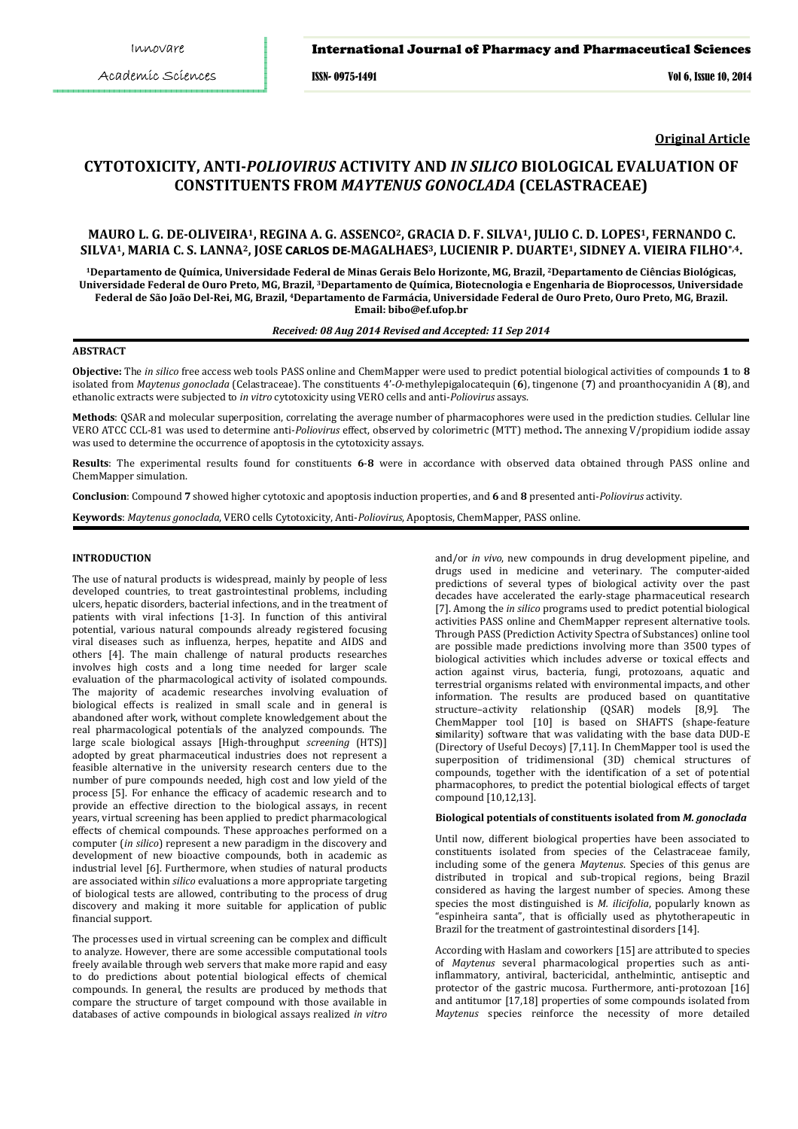## International Journal of Pharmacy and Pharmaceutical Sciences

ISSN- 0975-1491 Vol 6, Issue 10, 2014

**Original Article**

# **CYTOTOXICITY, ANTI-***POLIOVIRUS* **ACTIVITY AND** *IN SILICO* **BIOLOGICAL EVALUATION OF CONSTITUENTS FROM** *MAYTENUS GONOCLADA* **(CELASTRACEAE)**

## **MAURO L. G. DE-OLIVEIRA1, REGINA A. G. ASSENCO2, GRACIA D. F. SILVA1, JULIO C. D. LOPES1, FERNANDO C. SILVA1, MARIA C. S. LANNA2, JOSE CARLOS DE-MAGALHAES3, LUCIENIR P. DUARTE1, SIDNEY A. VIEIRA FILHO\*,4.**

**<sup>1</sup>Departamento de Química, Universidade Federal de Minas Gerais Belo Horizonte, MG, Brazil, <sup>2</sup>Departamento de Ciências Biológicas, Universidade Federal de Ouro Preto, MG, Brazil, <sup>3</sup>Departamento de Química, Biotecnologia e Engenharia de Bioprocessos, Universidade Federal de São João Del-Rei, MG, Brazil, <sup>4</sup>Departamento de Farmácia, Universidade Federal de Ouro Preto, Ouro Preto, MG, Brazil. Email: bibo@ef.ufop.br**

## *Received: 08 Aug 2014 Revised and Accepted: 11 Sep 2014*

## **ABSTRACT**

**Objective:** The *in silico* free access web tools PASS online and ChemMapper were used to predict potential biological activities of compounds **1** to **8** isolated from *Maytenus gonoclada* (Celastraceae). The constituents 4'-*O*-methylepigalocatequin (**6**), tingenone (**7**) and proanthocyanidin A (**8**), and ethanolic extracts were subjected to *in vitro* cytotoxicity using VERO cells and anti-*Poliovirus* assays.

**Methods**: QSAR and molecular superposition, correlating the average number of pharmacophores were used in the prediction studies. Cellular line VERO ATCC CCL-81 was used to determine anti-*Poliovirus* effect, observed by colorimetric (MTT) method**.** The annexing V/propidium iodide assay was used to determine the occurrence of apoptosis in the cytotoxicity assays.

**Results**: The experimental results found for constituents **6**-**8** were in accordance with observed data obtained through PASS online and ChemMapper simulation.

**Conclusion**: Compound **7** showed higher cytotoxic and apoptosis induction properties, and **6** and **8** presented anti-*Poliovirus* activity.

**Keywords**: *Maytenus gonoclada*, VERO cells Cytotoxicity, Anti-*Poliovirus*, Apoptosis, ChemMapper, PASS online.

## **INTRODUCTION**

The use of natural products is widespread, mainly by people of less developed countries, to treat gastrointestinal problems, including ulcers, hepatic disorders, bacterial infections, and in the treatment of patients with viral infections [1-3]. In function of this antiviral potential, various natural compounds already registered focusing viral diseases such as influenza, herpes, hepatite and AIDS and others [4]. The main challenge of natural products researches involves high costs and a long time needed for larger scale evaluation of the pharmacological activity of isolated compounds. The majority of academic researches involving evaluation of biological effects is realized in small scale and in general is abandoned after work, without complete knowledgement about the real pharmacological potentials of the analyzed compounds. The large scale biological assays [High-throughput *screening* (HTS)] adopted by great pharmaceutical industries does not represent a feasible alternative in the university research centers due to the number of pure compounds needed, high cost and low yield of the process [5]. For enhance the efficacy of academic research and to provide an effective direction to the biological assays, in recent years, virtual screening has been applied to predict pharmacological effects of chemical compounds. These approaches performed on a computer (*in silico*) represent a new paradigm in the discovery and development of new bioactive compounds, both in academic as industrial level [6]. Furthermore, when studies of natural products are associated within *silico* evaluations a more appropriate targeting of biological tests are allowed, contributing to the process of drug discovery and making it more suitable for application of public financial support.

The processes used in virtual screening can be complex and difficult to analyze. However, there are some accessible computational tools freely available through web servers that make more rapid and easy to do predictions about potential biological effects of chemical compounds. In general, the results are produced by methods that compare the structure of target compound with those available in databases of active compounds in biological assays realized *in vitro* and/or *in vivo*, new compounds in drug development pipeline, and drugs used in medicine and veterinary. The computer-aided predictions of several types of biological activity over the past decades have accelerated the early-stage pharmaceutical research [7]. Among the *in silico* programs used to predict potential biological activities PASS online and ChemMapper represent alternative tools. Through PASS (Prediction Activity Spectra of Substances) online tool are possible made predictions involving more than 3500 types of biological activities which includes adverse or toxical effects and action against virus, bacteria, fungi, protozoans, aquatic and terrestrial organisms related with environmental impacts, and other information. The results are produced based on quantitative structure–activity relationship (QSAR) models [8,9]. The ChemMapper tool [10] is based on SHAFTS (shape-feature **s**imilarity) software that was validating with the base data DUD-E (Directory of Useful Decoys) [7,11]. In ChemMapper tool is used the superposition of tridimensional (3D) chemical structures of compounds, together with the identification of a set of potential pharmacophores, to predict the potential biological effects of target compound [10,12,13].

## **Biological potentials of constituents isolated from** *M. gonoclada*

Until now, different biological properties have been associated to constituents isolated from species of the Celastraceae family, including some of the genera *Maytenus*. Species of this genus are distributed in tropical and sub-tropical regions, being Brazil considered as having the largest number of species. Among these species the most distinguished is *M. ilicifolia*, popularly known as "espinheira santa", that is officially used as phytotherapeutic in Brazil for the treatment of gastrointestinal disorders [14].

According with Haslam and coworkers [15] are attributed to species of *Maytenus* several pharmacological properties such as antiinflammatory, antiviral, bactericidal, anthelmintic, antiseptic and protector of the gastric mucosa. Furthermore, anti-protozoan [16] and antitumor [17,18] properties of some compounds isolated from *Maytenus* species reinforce the necessity of more detailed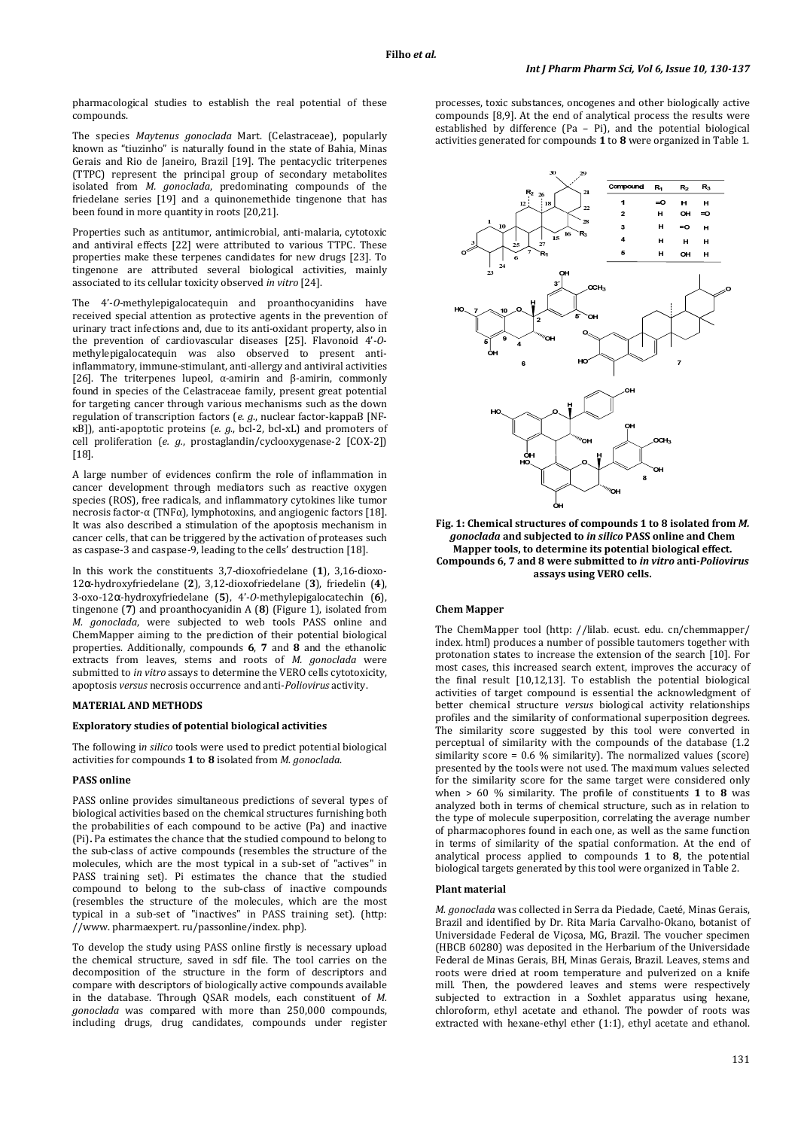pharmacological studies to establish the real potential of these compounds.

The species *Maytenus gonoclada* Mart. (Celastraceae), popularly known as "tiuzinho" is naturally found in the state of Bahia, Minas Gerais and Rio de Janeiro, Brazil [19]. The pentacyclic triterpenes (TTPC) represent the principal group of secondary metabolites isolated from *M. gonoclada*, predominating compounds of the friedelane series [19] and a quinonemethide tingenone that has been found in more quantity in roots [20,21].

Properties such as antitumor, antimicrobial, anti-malaria, cytotoxic and antiviral effects [22] were attributed to various TTPC. These properties make these terpenes candidates for new drugs [23]. To tingenone are attributed several biological activities, mainly associated to its cellular toxicity observed *in vitro* [24].

The 4'-*O*-methylepigalocatequin and proanthocyanidins have received special attention as protective agents in the prevention of urinary tract infections and, due to its anti-oxidant property, also in the prevention of cardiovascular diseases [25]. Flavonoid 4'-*O*methylepigalocatequin was also observed to present antiinflammatory, immune-stimulant, anti-allergy and antiviral activities [26]. The triterpenes lupeol, α-amirin and β-amirin, commonly found in species of the Celastraceae family, present great potential for targeting cancer through various mechanisms such as the down regulation of transcription factors (*e. g*., nuclear factor-kappaB [NFκB]), anti-apoptotic proteins (*e. g*., bcl-2, bcl-xL) and promoters of cell proliferation (*e. g.*, prostaglandin/cyclooxygenase-2 [COX-2]) [18].

A large number of evidences confirm the role of inflammation in cancer development through mediators such as reactive oxygen species (ROS), free radicals, and inflammatory cytokines like tumor necrosis factor-α (TNFα), lymphotoxins, and angiogenic factors [18]. It was also described a stimulation of the apoptosis mechanism in cancer cells, that can be triggered by the activation of proteases such as caspase-3 and caspase-9, leading to the cells' destruction [18].

In this work the constituents 3,7-dioxofriedelane (**1**), 3,16-dioxo-12α-hydroxyfriedelane (**2**), 3,12-dioxofriedelane (**3**), friedelin (**4**), 3-oxo-12α-hydroxyfriedelane (**5**), 4'-*O*-methylepigalocatechin (**6**), tingenone (**7**) and proanthocyanidin A (**8**) (Figure 1), isolated from *M. gonoclada*, were subjected to web tools PASS online and ChemMapper aiming to the prediction of their potential biological properties. Additionally, compounds **6**, **7** and **8** and the ethanolic extracts from leaves, stems and roots of *M. gonoclada* were submitted to *in vitro* assays to determine the VERO cells cytotoxicity, apoptosis *versus* necrosis occurrence and anti-*Poliovirus* activity.

#### **MATERIAL AND METHODS**

## **Exploratory studies of potential biological activities**

The following i*n silico* tools were used to predict potential biological activities for compounds **1** to **8** isolated from *M. gonoclada*.

#### **PASS online**

PASS online provides simultaneous predictions of several types of biological activities based on the chemical structures furnishing both the probabilities of each compound to be active (Pa) and inactive (Pi)**.** Pa estimates the chance that the studied compound to belong to the sub-class of active compounds (resembles the structure of the molecules, which are the most typical in a sub-set of "actives" in PASS training set). Pi estimates the chance that the studied compound to belong to the sub-class of inactive compounds (resembles the structure of the molecules, which are the most typical in a sub-set of "inactives" in PASS training set). (http: //www. pharmaexpert. ru/passonline/index. php).

To develop the study using PASS online firstly is necessary upload the chemical structure, saved in sdf file. The tool carries on the decomposition of the structure in the form of descriptors and compare with descriptors of biologically active compounds available in the database. Through QSAR models, each constituent of *M. gonoclada* was compared with more than 250,000 compounds, including drugs, drug candidates, compounds under register

processes, toxic substances, oncogenes and other biologically active compounds [8,9]. At the end of analytical process the results were established by difference (Pa – Pi), and the potential biological activities generated for compounds **1** to **8** were organized in Table 1.



**Fig. 1: Chemical structures of compounds 1 to 8 isolated from** *M. gonoclada* **and subjected to** *in silico* **PASS online and Chem Mapper tools, to determine its potential biological effect. Compounds 6, 7 and 8 were submitted to** *in vitro* **anti-***Poliovirus* **assays using VERO cells.** 

## **Chem Mapper**

The ChemMapper tool (http: //lilab. ecust. edu. cn/chemmapper/ index. html) produces a number of possible tautomers together with protonation states to increase the extension of the search [10]. For most cases, this increased search extent, improves the accuracy of the final result [10,12,13]. To establish the potential biological activities of target compound is essential the acknowledgment of better chemical structure *versus* biological activity relationships profiles and the similarity of conformational superposition degrees. The similarity score suggested by this tool were converted in perceptual of similarity with the compounds of the database (1.2 similarity score =  $0.6\%$  similarity). The normalized values (score) presented by the tools were not used. The maximum values selected for the similarity score for the same target were considered only when > 60 % similarity. The profile of constituents **1** to **8** was analyzed both in terms of chemical structure, such as in relation to the type of molecule superposition, correlating the average number of pharmacophores found in each one, as well as the same function in terms of similarity of the spatial conformation. At the end of analytical process applied to compounds **1** to **8**, the potential biological targets generated by this tool were organized in Table 2.

#### **Plant material**

*M. gonoclada* was collected in Serra da Piedade, Caeté, Minas Gerais, Brazil and identified by Dr. Rita Maria Carvalho-Okano, botanist of Universidade Federal de Viçosa, MG, Brazil. The voucher specimen (HBCB 60280) was deposited in the Herbarium of the Universidade Federal de Minas Gerais, BH, Minas Gerais, Brazil. Leaves, stems and roots were dried at room temperature and pulverized on a knife mill. Then, the powdered leaves and stems were respectively subjected to extraction in a Soxhlet apparatus using hexane, chloroform, ethyl acetate and ethanol. The powder of roots was extracted with hexane-ethyl ether (1:1), ethyl acetate and ethanol.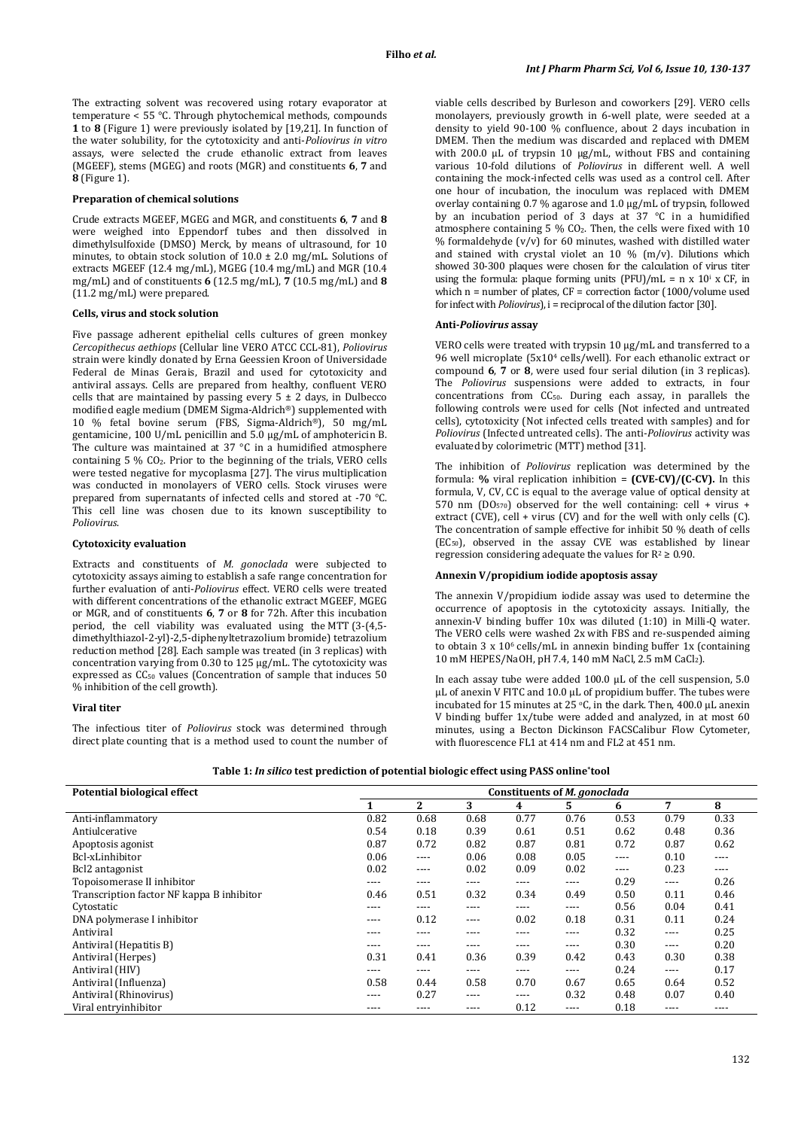The extracting solvent was recovered using rotary evaporator at temperature < 55 °C. Through phytochemical methods, compounds **1** to **8** (Figure 1) were previously isolated by [19,21]. In function of the water solubility, for the cytotoxicity and anti-*Poliovirus in vitro* assays, were selected the crude ethanolic extract from leaves (MGEEF), stems (MGEG) and roots (MGR) and constituents **6**, **7** and **8** (Figure 1).

## **Preparation of chemical solutions**

Crude extracts MGEEF, MGEG and MGR, and constituents **6**, **7** and **8** were weighed into Eppendorf tubes and then dissolved in dimethylsulfoxide (DMSO) Merck, by means of ultrasound, for 10 minutes, to obtain stock solution of  $10.0 \pm 2.0$  mg/mL. Solutions of extracts MGEEF (12.4 mg/mL), MGEG (10.4 mg/mL) and MGR (10.4 mg/mL) and of constituents **6** (12.5 mg/mL), **7** (10.5 mg/mL) and **8** (11.2 mg/mL) were prepared.

#### **Cells, virus and stock solution**

Five passage adherent epithelial cells cultures of green monkey *Cercopithecus aethiops* (Cellular line VERO ATCC CCL-81), *Poliovirus* strain were kindly donated by Erna Geessien Kroon of Universidade Federal de Minas Gerais, Brazil and used for cytotoxicity and antiviral assays. Cells are prepared from healthy, confluent VERO cells that are maintained by passing every  $5 \pm 2$  days, in Dulbecco modified eagle medium (DMEM Sigma-Aldrich®) supplemented with 10 % fetal bovine serum (FBS, Sigma-Aldrich®), 50 mg/mL gentamicine, 100 U/mL penicillin and 5.0 µg/mL of amphotericin B. The culture was maintained at 37 °C in a humidified atmosphere containing 5 % CO2. Prior to the beginning of the trials, VERO cells were tested negative for mycoplasma [27]. The virus multiplication was conducted in monolayers of VERO cells. Stock viruses were prepared from supernatants of infected cells and stored at -70 °C. This cell line was chosen due to its known susceptibility to *Poliovirus*.

#### **Cytotoxicity evaluation**

Extracts and constituents of *M. gonoclada* were subjected to cytotoxicity assays aiming to establish a safe range concentration for further evaluation of anti-*Poliovirus* effect. VERO cells were treated with different concentrations of the ethanolic extract MGEEF, MGEG or MGR, and of constituents **6**, **7** or **8** for 72h. After this incubation period, the cell viability was evaluated using the MTT (3-(4,5 dimethylthiazol-2-yl)-2,5-diphenyltetrazolium bromide) tetrazolium reduction method [28]. Each sample was treated (in 3 replicas) with concentration varying from 0.30 to 125 µg/mL. The cytotoxicity was expressed as CC<sub>50</sub> values (Concentration of sample that induces 50 % inhibition of the cell growth).

## **Viral titer**

The infectious titer of *Poliovirus* stock was determined through direct plate counting that is a method used to count the number of viable cells described by Burleson and coworkers [29]. VERO cells monolayers, previously growth in 6-well plate, were seeded at a density to yield 90-100 % confluence, about 2 days incubation in DMEM. Then the medium was discarded and replaced with DMEM with 200.0 μL of trypsin 10 μg/mL, without FBS and containing various 10-fold dilutions of *Poliovirus* in different well. A well containing the mock-infected cells was used as a control cell. After one hour of incubation, the inoculum was replaced with DMEM overlay containing 0.7 % agarose and 1.0 µg/mL of trypsin, followed by an incubation period of 3 days at 37 °C in a humidified atmosphere containing  $5\%$  CO<sub>2</sub>. Then, the cells were fixed with 10 % formaldehyde  $(v/v)$  for 60 minutes, washed with distilled water and stained with crystal violet an  $10\%$  (m/v). Dilutions which showed 30-300 plaques were chosen for the calculation of virus titer using the formula: plaque forming units (PFU)/mL =  $n \times 10^{i} \times CF$ , in which n = number of plates, CF = correction factor (1000/volume used for infect with *Poliovirus*), i = reciprocal of the dilution factor [30].

#### **Anti-***Poliovirus* **assay**

VERO cells were treated with trypsin 10 μg/mL and transferred to a 96 well microplate (5x104 cells/well). For each ethanolic extract or compound **6**, **7** or **8**, were used four serial dilution (in 3 replicas). The *Poliovirus* suspensions were added to extracts, in four concentrations from  $CC_{50}$ . During each assay, in parallels the following controls were used for cells (Not infected and untreated cells), cytotoxicity (Not infected cells treated with samples) and for *Poliovirus* (Infected untreated cells). The anti-*Poliovirus* activity was evaluated by colorimetric (MTT) method [31].

The inhibition of *Poliovirus* replication was determined by the formula: **%** viral replication inhibition = **(CVE-CV)/(C-CV).** In this formula, V, CV, CC is equal to the average value of optical density at 570 nm  $(DO<sub>570</sub>)$  observed for the well containing: cell + virus + extract (CVE), cell + virus (CV) and for the well with only cells (C). The concentration of sample effective for inhibit 50 % death of cells (EC50), observed in the assay CVE was established by linear regression considering adequate the values for  $R^2 \geq 0.90$ .

#### **Annexin V/propidium iodide apoptosis assay**

The annexin V/propidium iodide assay was used to determine the occurrence of apoptosis in the cytotoxicity assays. Initially, the annexin-V binding buffer 10x was diluted (1:10) in Milli-Q water. The VERO cells were washed 2x with FBS and re-suspended aiming to obtain  $3 \times 10^6$  cells/mL in annexin binding buffer 1x (containing 10 mM HEPES/NaOH, pH 7.4, 140 mM NaCl, 2.5 mM CaCl2).

In each assay tube were added 100.0 μL of the cell suspension, 5.0 μL of anexin V FITC and 10.0 μL of propidium buffer. The tubes were incubated for 15 minutes at 25  $\circ$ C, in the dark. Then, 400.0 µL anexin V binding buffer 1x/tube were added and analyzed, in at most 60 minutes, using a Becton Dickinson FACSCalibur Flow Cytometer, with fluorescence FL1 at 414 nm and FL2 at 451 nm.

| Potential biological effect               | Constituents of <i>M. gonoclada</i> |              |      |      |           |      |       |      |
|-------------------------------------------|-------------------------------------|--------------|------|------|-----------|------|-------|------|
|                                           |                                     | $\mathbf{2}$ | 3    | 4    | 5         | 6    | 7     | 8    |
| Anti-inflammatory                         | 0.82                                | 0.68         | 0.68 | 0.77 | 0.76      | 0.53 | 0.79  | 0.33 |
| Antiulcerative                            | 0.54                                | 0.18         | 0.39 | 0.61 | 0.51      | 0.62 | 0.48  | 0.36 |
| Apoptosis agonist                         | 0.87                                | 0.72         | 0.82 | 0.87 | 0.81      | 0.72 | 0.87  | 0.62 |
| Bcl-xLinhibitor                           | 0.06                                | ----         | 0.06 | 0.08 | 0.05      | ---- | 0.10  | ---- |
| Bcl2 antagonist                           | 0.02                                | ----         | 0.02 | 0.09 | 0.02      | ---- | 0.23  | ---- |
| Topoisomerase II inhibitor                | ----                                | ----         | ---- | ---- | ----      | 0.29 | $---$ | 0.26 |
| Transcription factor NF kappa B inhibitor | 0.46                                | 0.51         | 0.32 | 0.34 | 0.49      | 0.50 | 0.11  | 0.46 |
| Cytostatic                                | ----                                | ----         | ---- | ---- | $---$     | 0.56 | 0.04  | 0.41 |
| DNA polymerase I inhibitor                | ----                                | 0.12         | ---- | 0.02 | 0.18      | 0.31 | 0.11  | 0.24 |
| Antiviral                                 | ----                                | ----         | ---- | ---- | ----      | 0.32 | ----  | 0.25 |
| Antiviral (Hepatitis B)                   | ----                                | ----         | ---- | ---- | ----      | 0.30 | ----  | 0.20 |
| Antiviral (Herpes)                        | 0.31                                | 0.41         | 0.36 | 0.39 | 0.42      | 0.43 | 0.30  | 0.38 |
| Antiviral (HIV)                           | ----                                | ----         | ---- | ---- | $---$     | 0.24 | $---$ | 0.17 |
| Antiviral (Influenza)                     | 0.58                                | 0.44         | 0.58 | 0.70 | 0.67      | 0.65 | 0.64  | 0.52 |
| Antiviral (Rhinovirus)                    | ----                                | 0.27         | ---- | ---- | 0.32      | 0.48 | 0.07  | 0.40 |
| Viral entryinhibitor                      | ----                                | ----         | ---- | 0.12 | $- - - -$ | 0.18 | ----  | ---- |

**Table 1:** *In silico* **test prediction of potential biologic effect using PASS online\*tool**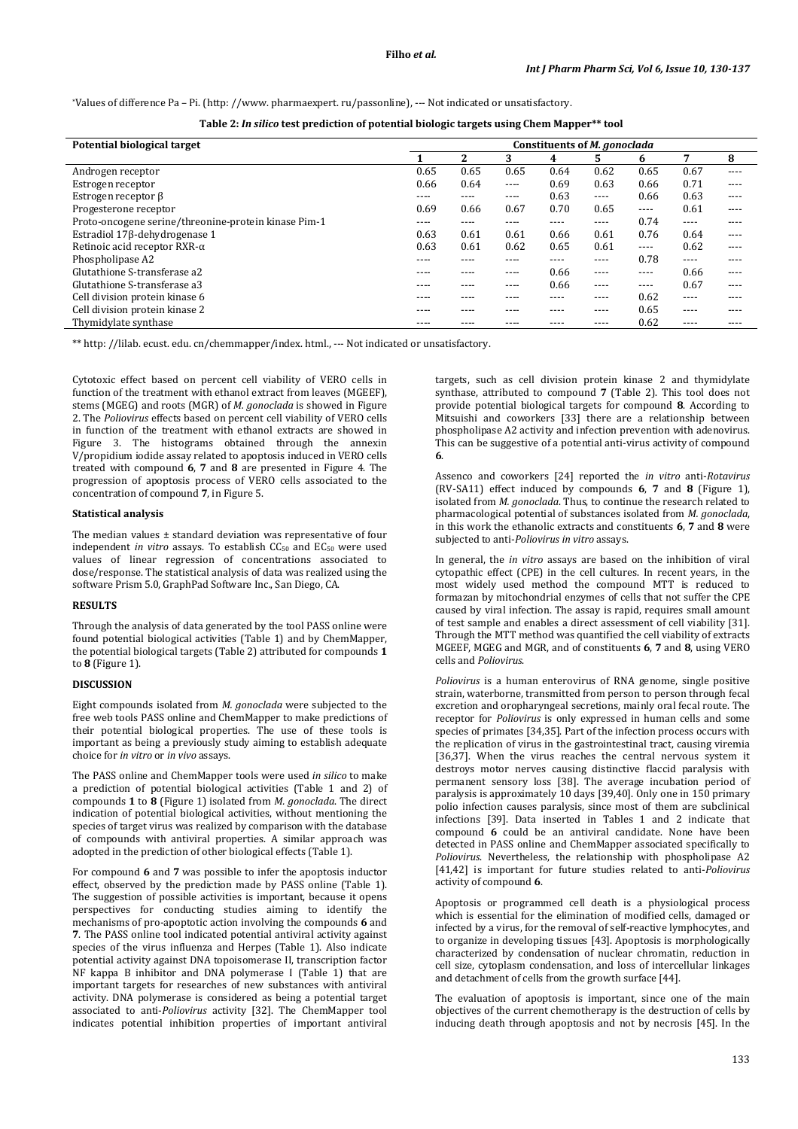\*Values of difference Pa – Pi. (http: //www. pharmaexpert. ru/passonline), --- Not indicated or unsatisfactory.

| Table 2: In silico test prediction of potential biologic targets using Chem Mapper** tool |  |  |  |
|-------------------------------------------------------------------------------------------|--|--|--|
|-------------------------------------------------------------------------------------------|--|--|--|

| Potential biological target                          | Constituents of <i>M. gonoclada</i> |      |      |      |           |       |           |      |
|------------------------------------------------------|-------------------------------------|------|------|------|-----------|-------|-----------|------|
|                                                      |                                     | 2    | 3    | 4    | 5.        | 6     | 7         | 8    |
| Androgen receptor                                    | 0.65                                | 0.65 | 0.65 | 0.64 | 0.62      | 0.65  | 0.67      | ---- |
| Estrogen receptor                                    | 0.66                                | 0.64 | ---- | 0.69 | 0.63      | 0.66  | 0.71      | ---- |
| Estrogen receptor $\beta$                            | ----                                | ---- | ---- | 0.63 | $---$     | 0.66  | 0.63      | ---- |
| Progesterone receptor                                | 0.69                                | 0.66 | 0.67 | 0.70 | 0.65      | $---$ | 0.61      | ---- |
| Proto-oncogene serine/threonine-protein kinase Pim-1 | ----                                | ---- | ---- | ---- | $- - - -$ | 0.74  | ----      | ---- |
| Estradiol 17β-dehydrogenase 1                        | 0.63                                | 0.61 | 0.61 | 0.66 | 0.61      | 0.76  | 0.64      | ---- |
| Retinoic acid receptor RXR- $\alpha$                 | 0.63                                | 0.61 | 0.62 | 0.65 | 0.61      | $---$ | 0.62      | ---- |
| Phospholipase A2                                     | ----                                | ---- | ---- | ---- | ----      | 0.78  | $- - - -$ | ---- |
| Glutathione S-transferase a2                         | ----                                | ---- | ---- | 0.66 | ----      | ----  | 0.66      | ---- |
| Glutathione S-transferase a3                         | ----                                |      | ---- | 0.66 | ----      | $---$ | 0.67      | ---- |
| Cell division protein kinase 6                       | ----                                | ---- | ---- | ---- | ----      | 0.62  | ----      | ---- |
| Cell division protein kinase 2                       | ----                                | ---- | ---- | ---- | ----      | 0.65  | ----      | ---- |
| Thymidylate synthase                                 | ----                                | ---- | ---- | ---- | ----      | 0.62  | ----      | ---- |

\*\* http: //lilab. ecust. edu. cn/chemmapper/index. html., --- Not indicated or unsatisfactory.

Cytotoxic effect based on percent cell viability of VERO cells in function of the treatment with ethanol extract from leaves (MGEEF), stems (MGEG) and roots (MGR) of *M. gonoclada* is showed in Figure 2. The *Poliovirus* effects based on percent cell viability of VERO cells in function of the treatment with ethanol extracts are showed in Figure 3. The histograms obtained through the annexin V/propidium iodide assay related to apoptosis induced in VERO cells treated with compound **6**, **7** and **8** are presented in Figure 4. The progression of apoptosis process of VERO cells associated to the concentration of compound **7**, in Figure 5.

#### **Statistical analysis**

The median values ± standard deviation was representative of four independent *in vitro* assays. To establish CC<sub>50</sub> and EC<sub>50</sub> were used values of linear regression of concentrations associated to dose/response. The statistical analysis of data was realized using the software Prism 5.0, GraphPad Software Inc., San Diego, CA.

#### **RESULTS**

Through the analysis of data generated by the tool PASS online were found potential biological activities (Table 1) and by ChemMapper, the potential biological targets (Table 2) attributed for compounds **1** to **8** (Figure 1).

## **DISCUSSION**

Eight compounds isolated from *M. gonoclada* were subjected to the free web tools PASS online and ChemMapper to make predictions of their potential biological properties. The use of these tools is important as being a previously study aiming to establish adequate choice for *in vitro* or *in vivo* assays.

The PASS online and ChemMapper tools were used *in silico* to make a prediction of potential biological activities (Table 1 and 2) of compounds **1** to **8** (Figure 1) isolated from *M. gonoclada*. The direct indication of potential biological activities, without mentioning the species of target virus was realized by comparison with the database of compounds with antiviral properties. A similar approach was adopted in the prediction of other biological effects (Table 1).

For compound **6** and **7** was possible to infer the apoptosis inductor effect, observed by the prediction made by PASS online (Table 1). The suggestion of possible activities is important, because it opens perspectives for conducting studies aiming to identify the mechanisms of pro-apoptotic action involving the compounds **6** and **7**. The PASS online tool indicated potential antiviral activity against species of the virus influenza and Herpes (Table 1). Also indicate potential activity against DNA topoisomerase II, transcription factor NF kappa B inhibitor and DNA polymerase I (Table 1) that are important targets for researches of new substances with antiviral activity. DNA polymerase is considered as being a potential target associated to anti-*Poliovirus* activity [32]. The ChemMapper tool indicates potential inhibition properties of important antiviral

targets, such as cell division protein kinase 2 and thymidylate synthase, attributed to compound **7** (Table 2). This tool does not provide potential biological targets for compound **8**. According to Mitsuishi and coworkers [33] there are a relationship between phospholipase A2 activity and infection prevention with adenovirus. This can be suggestive of a potential anti-virus activity of compound **6**.

Assenco and coworkers [24] reported the *in vitro* anti-*Rotavirus* (RV-SA11) effect induced by compounds **6**, **7** and **8** (Figure 1), isolated from *M. gonoclada*. Thus, to continue the research related to pharmacological potential of substances isolated from *M. gonoclada*, in this work the ethanolic extracts and constituents **6**, **7** and **8** were subjected to anti-*Poliovirus in vitro* assays.

In general, the *in vitro* assays are based on the inhibition of viral cytopathic effect (CPE) in the cell cultures. In recent years, in the most widely used method the compound MTT is reduced to formazan by mitochondrial enzymes of cells that not suffer the CPE caused by viral infection. The assay is rapid, requires small amount of test sample and enables a direct assessment of cell viability [31]. Through the MTT method was quantified the cell viability of extracts MGEEF, MGEG and MGR, and of constituents **6**, **7** and **8**, using VERO cells and *Poliovirus*.

*Poliovirus* is a human enterovirus of RNA genome, single positive strain, waterborne, transmitted from person to person through fecal excretion and oropharyngeal secretions, mainly oral fecal route. The receptor for *Poliovirus* is only expressed in human cells and some species of primates [34,35]. Part of the infection process occurs with the replication of virus in the gastrointestinal tract, causing viremia [36,37]. When the virus reaches the central nervous system it destroys motor nerves causing distinctive flaccid paralysis with permanent sensory loss [38]. The average incubation period of paralysis is approximately 10 days [39,40]. Only one in 150 primary polio infection causes paralysis, since most of them are subclinical infections [39]. Data inserted in Tables 1 and 2 indicate that compound **6** could be an antiviral candidate. None have been detected in PASS online and ChemMapper associated specifically to *Poliovirus*. Nevertheless, the relationship with phospholipase A2 [41,42] is important for future studies related to anti-*Poliovirus* activity of compound **6**.

Apoptosis or programmed cell death is a physiological process which is essential for the elimination of modified cells, damaged or infected by a virus, for the removal of self-reactive lymphocytes, and to organize in developing tissues [43]. Apoptosis is morphologically characterized by condensation of nuclear chromatin, reduction in cell size, cytoplasm condensation, and loss of intercellular linkages and detachment of cells from the growth surface [44].

The evaluation of apoptosis is important, since one of the main objectives of the current chemotherapy is the destruction of cells by inducing death through apoptosis and not by necrosis [45]. In the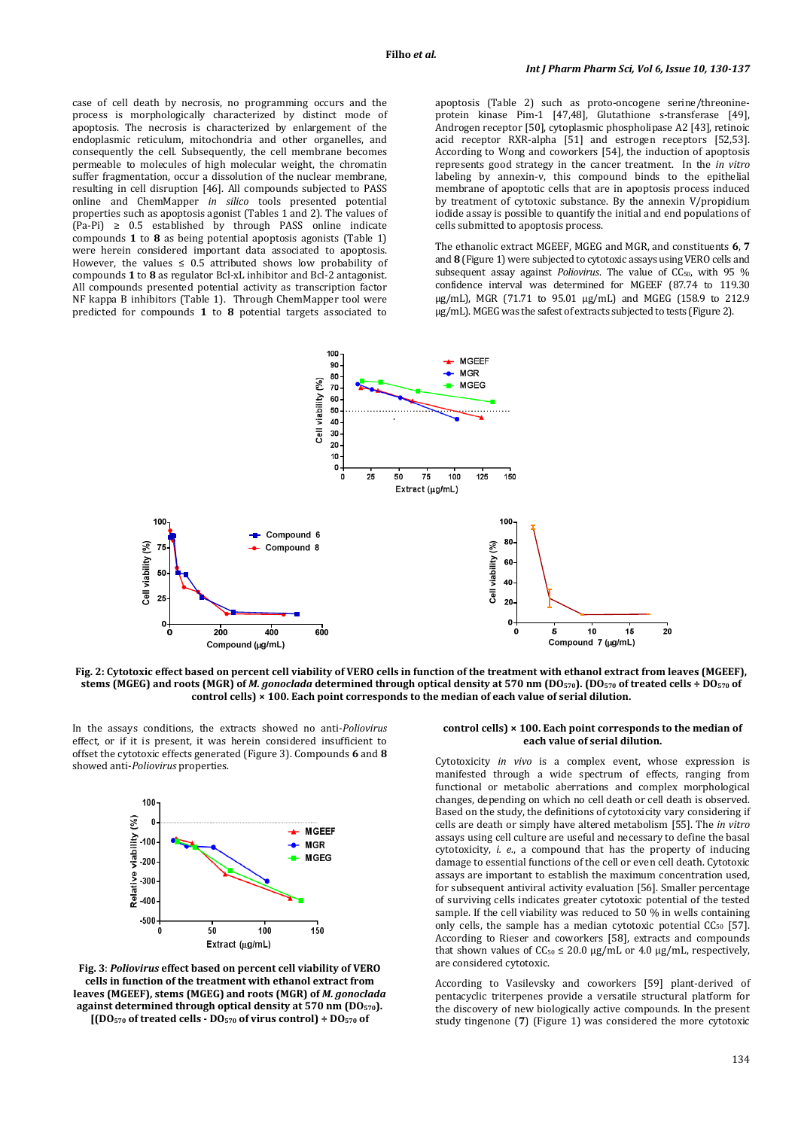case of cell death by necrosis, no programming occurs and the process is morphologically characterized by distinct mode of apoptosis. The necrosis is characterized by enlargement of the endoplasmic reticulum, mitochondria and other organelles, and consequently the cell. Subsequently, the cell membrane becomes permeable to molecules of high molecular weight, the chromatin suffer fragmentation, occur a dissolution of the nuclear membrane, resulting in cell disruption [46]. All compounds subjected to PASS online and ChemMapper *in silico* tools presented potential properties such as apoptosis agonist (Tables 1 and 2). The values of  $(Pa-Pi) \geq 0.5$  established by through PASS online indicate compounds **1** to **8** as being potential apoptosis agonists (Table 1) were herein considered important data associated to apoptosis. However, the values  $\leq 0.5$  attributed shows low probability of compounds **1** to **8** as regulator Bcl-xL inhibitor and Bcl-2 antagonist. All compounds presented potential activity as transcription factor NF kappa B inhibitors (Table 1). Through ChemMapper tool were predicted for compounds **1** to **8** potential targets associated to

apoptosis (Table 2) such as proto-oncogene serine/threonineprotein kinase Pim-1 [47,48], Glutathione s-transferase [49], Androgen receptor [50], cytoplasmic phospholipase A2 [43], retinoic acid receptor RXR-alpha [51] and estrogen receptors [52,53]. According to Wong and coworkers [54], the induction of apoptosis represents good strategy in the cancer treatment. In the *in vitro* labeling by annexin-v, this compound binds to the epithelial membrane of apoptotic cells that are in apoptosis process induced by treatment of cytotoxic substance. By the annexin V/propidium iodide assay is possible to quantify the initial and end populations of cells submitted to apoptosis process.

The ethanolic extract MGEEF, MGEG and MGR, and constituents **6**, **7** and **8** (Figure 1) were subjected to cytotoxic assays using VERO cells and subsequent assay against *Poliovirus*. The value of CC<sub>50</sub>, with 95 % confidence interval was determined for MGEEF (87.74 to 119.30 µg/mL), MGR (71.71 to 95.01 µg/mL) and MGEG (158.9 to 212.9 µg/mL). MGEG was the safest of extracts subjected to tests (Figure 2).



**Fig. 2: Cytotoxic effect based on percent cell viability of VERO cells in function of the treatment with ethanol extract from leaves (MGEEF), stems (MGEG) and roots (MGR) of** *M. gonoclada* **determined through optical density at 570 nm (DO570). (DO570 of treated cells ÷ DO570 of control cells) × 100. Each point corresponds to the median of each value of serial dilution.** 

In the assays conditions, the extracts showed no anti-*Poliovirus* effect, or if it is present, it was herein considered insufficient to offset the cytotoxic effects generated (Figure 3). Compounds **6** and **8** showed anti-*Poliovirus* properties.



**Fig. 3**: *Poliovirus* **effect based on percent cell viability of VERO cells in function of the treatment with ethanol extract from leaves (MGEEF), stems (MGEG) and roots (MGR) of** *M. gonoclada* **against determined through optical density at 570 nm (DO570).** 

**[(DO570 of treated cells - DO570 of virus control) ÷ DO570 of** 

#### **control cells) × 100. Each point corresponds to the median of each value of serial dilution.**

Cytotoxicity *in vivo* is a complex event, whose expression is manifested through a wide spectrum of effects, ranging from functional or metabolic aberrations and complex morphological changes, depending on which no cell death or cell death is observed. Based on the study, the definitions of cytotoxicity vary considering if cells are death or simply have altered metabolism [55]. The *in vitro* assays using cell culture are useful and necessary to define the basal cytotoxicity, *i. e.*, a compound that has the property of inducing damage to essential functions of the cell or even cell death. Cytotoxic assays are important to establish the maximum concentration used, for subsequent antiviral activity evaluation [56]. Smaller percentage of surviving cells indicates greater cytotoxic potential of the tested sample. If the cell viability was reduced to 50 % in wells containing only cells, the sample has a median cytotoxic potential  $CC_{50}$  [57]. According to Rieser and coworkers [58], extracts and compounds that shown values of  $CC_{50} \le 20.0$  µg/mL or 4.0 µg/mL, respectively, are considered cytotoxic.

According to Vasilevsky and coworkers [59] plant-derived of pentacyclic triterpenes provide a versatile structural platform for the discovery of new biologically active compounds. In the present study tingenone (**7**) (Figure 1) was considered the more cytotoxic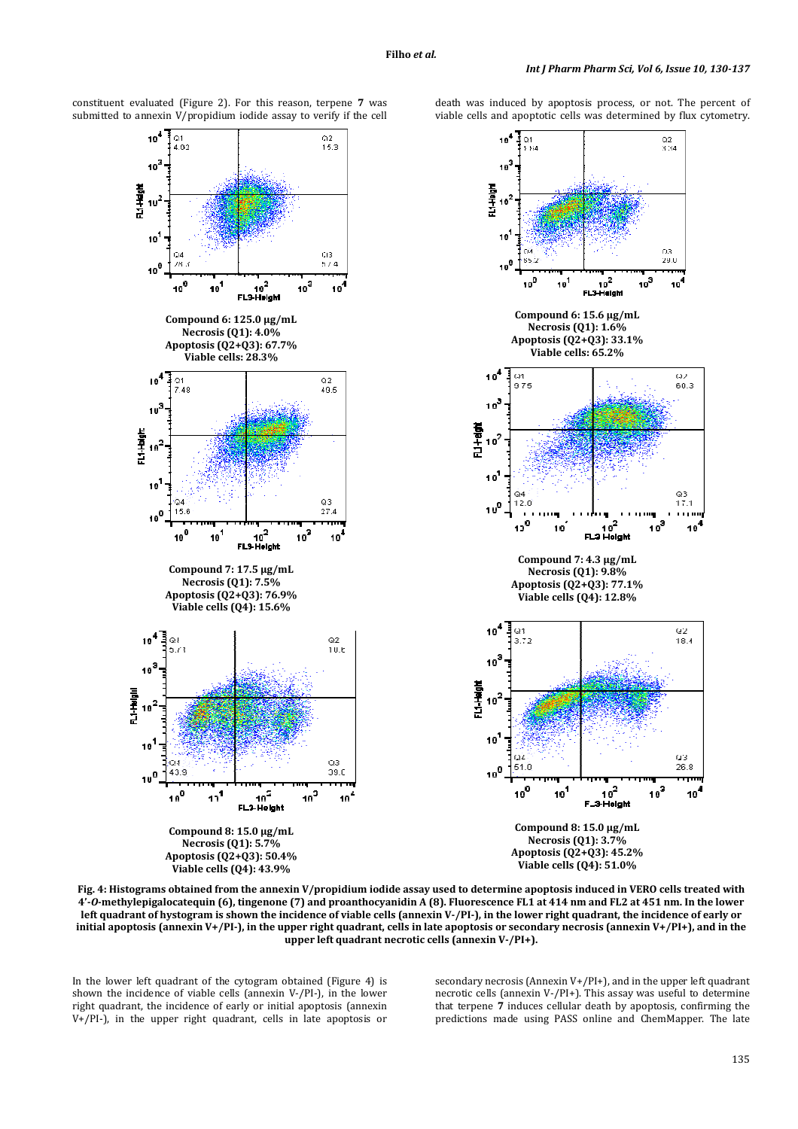$10^4$ 

 $10^{\prime}$ 



constituent evaluated (Figure 2). For this reason, terpene **7** was submitted to annexin V/propidium iodide assay to verify if the cell death was induced by apoptosis process, or not. The percent of viable cells and apoptotic cells was determined by flux cytometry.

**Fig. 4: Histograms obtained from the annexin V/propidium iodide assay used to determine apoptosis induced in VERO cells treated with 4'-***O***-methylepigalocatequin (6), tingenone (7) and proanthocyanidin A (8). Fluorescence FL1 at 414 nm and FL2 at 451 nm. In the lower left quadrant of hystogram is shown the incidence of viable cells (annexin V-/PI-), in the lower right quadrant, the incidence of early or initial apoptosis (annexin V+/PI-), in the upper right quadrant, cells in late apoptosis or secondary necrosis (annexin V+/PI+), and in the upper left quadrant necrotic cells (annexin V-/PI+).** 

In the lower left quadrant of the cytogram obtained (Figure 4) is shown the incidence of viable cells (annexin V-/PI-), in the lower right quadrant, the incidence of early or initial apoptosis (annexin V+/PI-), in the upper right quadrant, cells in late apoptosis or

secondary necrosis (Annexin V+/PI+), and in the upper left quadrant necrotic cells (annexin V-/PI+). This assay was useful to determine that terpene **7** induces cellular death by apoptosis, confirming the predictions made using PASS online and ChemMapper. The late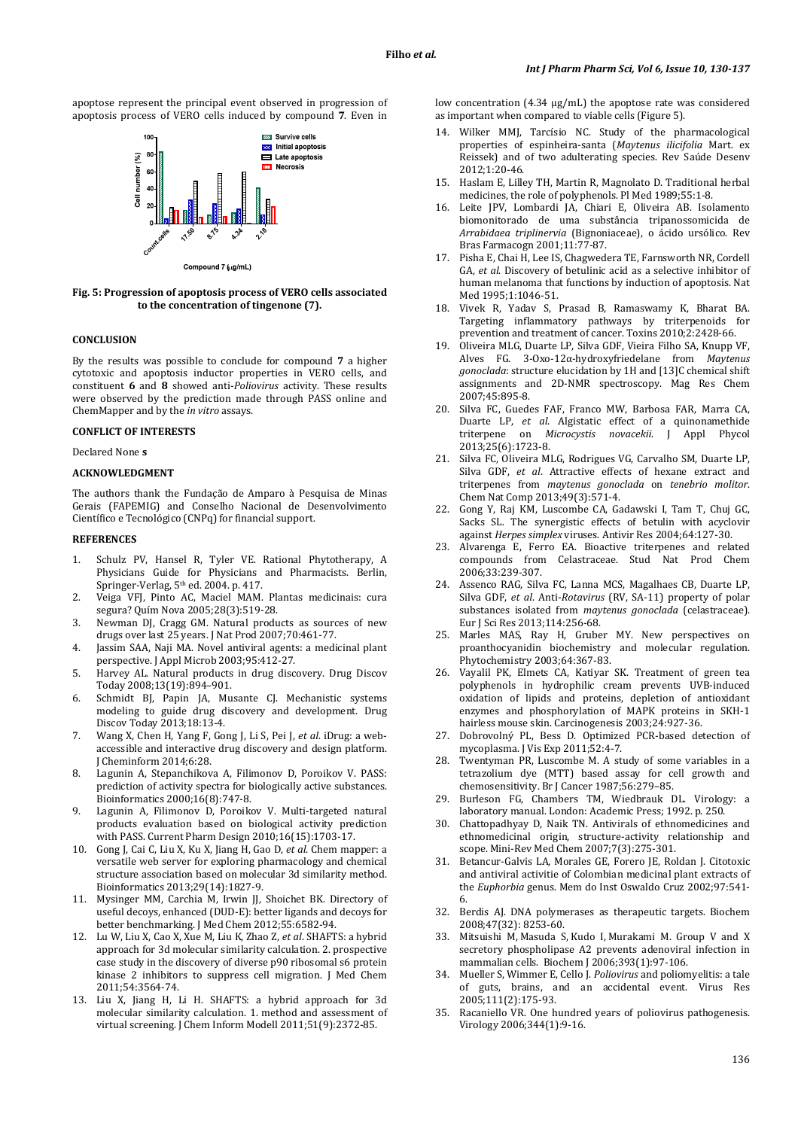apoptose represent the principal event observed in progression of apoptosis process of VERO cells induced by compound **7**. Even in



**Fig. 5: Progression of apoptosis process of VERO cells associated to the concentration of tingenone (7).** 

#### **CONCLUSION**

By the results was possible to conclude for compound **7** a higher cytotoxic and apoptosis inductor properties in VERO cells, and constituent **6** and **8** showed anti-*Poliovirus* activity. These results were observed by the prediction made through PASS online and ChemMapper and by the *in vitro* assays.

#### **CONFLICT OF INTERESTS**

Declared None **s** 

#### **ACKNOWLEDGMENT**

The authors thank the Fundação de Amparo à Pesquisa de Minas Gerais (FAPEMIG) and Conselho Nacional de Desenvolvimento Científico e Tecnológico (CNPq) for financial support.

## **REFERENCES**

- 1. Schulz PV, Hansel R, Tyler VE. Rational Phytotherapy, A Physicians Guide for Physicians and Pharmacists. Berlin, Springer-Verlag, 5<sup>th</sup> ed. 2004. p. 417.
- 2. Veiga VFJ, Pinto AC, Maciel MAM. Plantas medicinais: cura segura? Quím Nova 2005;28(3):519-28.
- 3. Newman DJ, Cragg GM. Natural products as sources of new drugs over last 25 years. J Nat Prod 2007;70:461-77.
- 4. Jassim SAA, Naji MA. Novel antiviral agents: a medicinal plant perspective. J Appl Microb 2003;95:412-27.
- 5. Harvey AL. Natural products in drug discovery. Drug Discov Today 2008;13(19):894–901.
- 6. Schmidt BJ, Papin JA, Musante CJ. Mechanistic systems modeling to guide drug discovery and development. Drug Discov Today 2013;18:13-4.
- 7. Wang X, Chen H, Yang F, Gong J, Li S, Pei J, *et al*. iDrug: a webaccessible and interactive drug discovery and design platform. J Cheminform 2014;6:28.
- 8. Lagunin A, Stepanchikova A, Filimonov D, Poroikov V. PASS: prediction of activity spectra for biologically active substances. Bioinformatics 2000;16(8):747-8.
- 9. Lagunin A, Filimonov D, Poroikov V. Multi-targeted natural products evaluation based on biological activity prediction with PASS. Current Pharm Design 2010;16(15):1703-17.
- 10. Gong J, Cai C, Liu X, Ku X, Jiang H, Gao D, *et al*. Chem mapper: a versatile web server for exploring pharmacology and chemical structure association based on molecular 3d similarity method. Bioinformatics 2013;29(14):1827-9.
- 11. Mysinger MM, Carchia M, Irwin JJ, Shoichet BK. Directory of useful decoys, enhanced (DUD-E): better ligands and decoys for better benchmarking. J Med Chem 2012;55:6582-94.
- 12. Lu W, Liu X, Cao X, Xue M, Liu K, Zhao Z, *et al*. SHAFTS: a hybrid approach for 3d molecular similarity calculation. 2. prospective case study in the discovery of diverse p90 ribosomal s6 protein kinase 2 inhibitors to suppress cell migration. J Med Chem 2011;54:3564-74.
- 13. Liu X, Jiang H, Li H. SHAFTS: a hybrid approach for 3d molecular similarity calculation. 1. method and assessment of virtual screening. J Chem Inform Modell 2011;51(9):2372-85.

low concentration (4.34 µg/mL) the apoptose rate was considered as important when compared to viable cells (Figure 5).

- 14. Wilker MMJ, Tarcísio NC. Study of the pharmacological properties of espinheira-santa (*Maytenus ilicifolia* Mart. ex Reissek) and of two adulterating species. Rev Saúde Desenv 2012;1:20-46.
- 15. Haslam E, Lilley TH, Martin R, Magnolato D. Traditional herbal medicines, the role of polyphenols. Pl Med 1989;55:1-8.
- 16. Leite JPV, Lombardi JA, Chiari E, Oliveira AB. Isolamento biomonitorado de uma substância tripanossomicida de *Arrabidaea triplinervia* (Bignoniaceae), o ácido ursólico. Rev Bras Farmacogn 2001;11:77-87.
- 17. Pisha E, Chai H, Lee IS, Chagwedera TE, Farnsworth NR, Cordell GA, *et al*. Discovery of betulinic acid as a selective inhibitor of human melanoma that functions by induction of apoptosis. Nat Med 1995;1:1046-51.
- 18. Vivek R, Yadav S, Prasad B, Ramaswamy K, Bharat BA. Targeting inflammatory pathways by triterpenoids for prevention and treatment of cancer. Toxins 2010;2:2428-66.
- 19. Oliveira MLG, Duarte LP, Silva GDF, Vieira Filho SA, Knupp VF, Alves FG. 3-Oxo-12α-hydroxyfriedelane from *Maytenus gonoclada*: structure elucidation by 1H and [13]C chemical shift assignments and 2D-NMR spectroscopy. Mag Res Chem 2007;45:895-8.
- 20. Silva FC, Guedes FAF, Franco MW, Barbosa FAR, Marra CA, Duarte LP, *et al*. Algistatic effect of a quinonamethide triterpene on *Microcystis novacekii*. J Appl Phycol 2013;25(6):1723-8.
- 21. Silva FC, Oliveira MLG, Rodrigues VG, Carvalho SM, Duarte LP, Silva GDF, *et al*. Attractive effects of hexane extract and triterpenes from *maytenus gonoclada* on *tenebrio molitor*. Chem Nat Comp 2013;49(3):571-4.
- 22. Gong Y, Raj KM, Luscombe CA, Gadawski I, Tam T, Chuj GC, Sacks SL. The synergistic effects of betulin with acyclovir against *Herpes simplex* viruses. Antivir Res 2004;64:127-30.
- 23. Alvarenga E, Ferro EA. Bioactive triterpenes and related compounds from Celastraceae. Stud Nat Prod Chem 2006;33:239-307.
- 24. Assenco RAG, Silva FC, Lanna MCS, Magalhaes CB, Duarte LP, Silva GDF, *et al*. Anti-*Rotavirus* (RV, SA-11) property of polar substances isolated from *maytenus gonoclada* (celastraceae). Eur J Sci Res 2013;114:256-68.
- 25. Marles MAS, Ray H, Gruber MY. New perspectives on proanthocyanidin biochemistry and molecular regulation. Phytochemistry 2003;64:367-83.
- 26. Vayalil PK, Elmets CA, Katiyar SK. Treatment of green tea polyphenols in hydrophilic cream prevents UVB-induced oxidation of lipids and proteins, depletion of antioxidant enzymes and phosphorylation of MAPK proteins in SKH-1 hairless mouse skin. Carcinogenesis 2003;24:927-36.
- 27. Dobrovolný PL, Bess D. Optimized PCR-based detection of mycoplasma. J Vis Exp 2011;52:4-7.
- 28. Twentyman PR, Luscombe M. A study of some variables in a tetrazolium dye (MTT) based assay for cell growth and chemosensitivity. Br J Cancer 1987;56:279–85.
- 29. Burleson FG, Chambers TM, Wiedbrauk DL. Virology: a laboratory manual. London: Academic Press; 1992. p. 250.
- 30. Chattopadhyay D, Naik TN. Antivirals of ethnomedicines and ethnomedicinal origin, structure-activity relationship and scope. Mini-Rev Med Chem 2007;7(3):275-301.
- 31. Betancur-Galvis LA, Morales GE, Forero JE, Roldan J. Citotoxic and antiviral activitie of Colombian medicinal plant extracts of the *Euphorbia* genus. Mem do Inst Oswaldo Cruz 2002;97:541- 6.
- 32. Berdis AJ. DNA polymerases as therapeutic targets. Biochem 2008;47(32): 8253-60.
- 33. Mitsuishi M, Masuda S, Kudo I, Murakami M. Group V and X secretory phospholipase A2 prevents adenoviral infection in mammalian cells. Biochem J 2006;393(1):97-106.
- 34. Mueller S, Wimmer E, Cello J. *Poliovirus* and poliomyelitis: a tale of guts, brains, and an accidental event. Virus Res 2005;111(2):175-93.
- 35. Racaniello VR. One hundred years of poliovirus pathogenesis. Virology 2006;344(1):9-16.